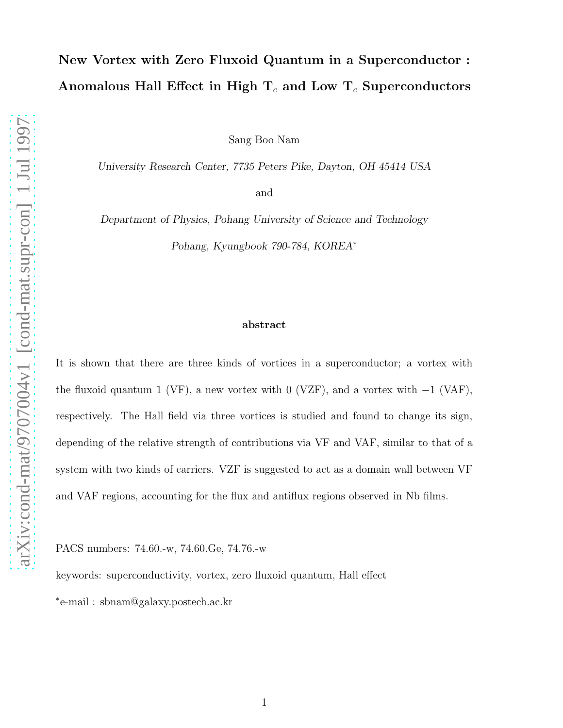## New Vortex with Zero Fluxoid Quantum in a Superconductor : Anomalous Hall Effect in High  $T_c$  and Low  $T_c$  Superconductors

Sang Boo Nam

University Research Center, 7735 Peters Pike, Dayton, OH 45414 USA

and

Department of Physics, Pohang University of Science and Technology Pohang, Kyungbook 790-784, KOREA<sup>∗</sup>

## abstract

It is shown that there are three kinds of vortices in a superconductor; a vortex with the fluxoid quantum 1 (VF), a new vortex with 0 (VZF), and a vortex with  $-1$  (VAF), respectively. The Hall field via three vortices is studied and found to change its sign, depending of the relative strength of contributions via VF and VAF, similar to that of a system with two kinds of carriers. VZF is suggested to act as a domain wall between VF and VAF regions, accounting for the flux and antiflux regions observed in Nb films.

PACS numbers: 74.60.-w, 74.60.Ge, 74.76.-w

keywords: superconductivity, vortex, zero fluxoid quantum, Hall effect ∗ e-mail : sbnam@galaxy.postech.ac.kr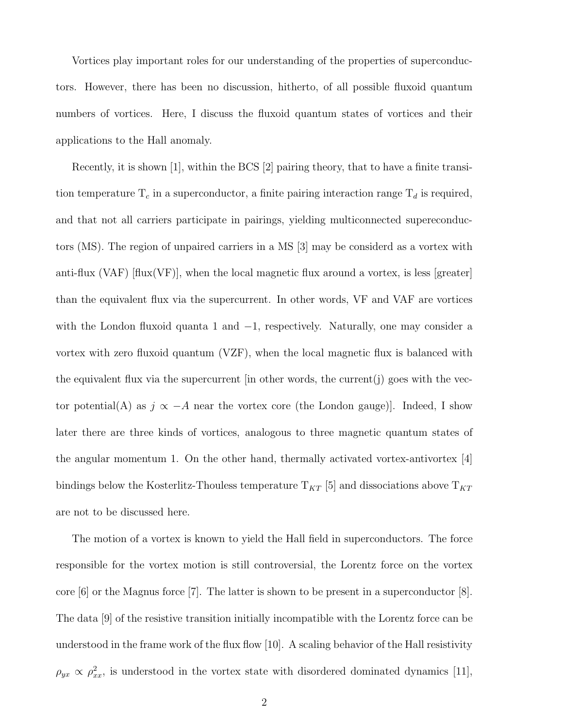Vortices play important roles for our understanding of the properties of superconductors. However, there has been no discussion, hitherto, of all possible fluxoid quantum numbers of vortices. Here, I discuss the fluxoid quantum states of vortices and their applications to the Hall anomaly.

Recently, it is shown [1], within the BCS [2] pairing theory, that to have a finite transition temperature  $T_c$  in a superconductor, a finite pairing interaction range  $T_d$  is required, and that not all carriers participate in pairings, yielding multiconnected supereconductors (MS). The region of unpaired carriers in a MS [3] may be considerd as a vortex with anti-flux  $(VAF)$  [flux $(VF)$ ], when the local magnetic flux around a vortex, is less [greater] than the equivalent flux via the supercurrent. In other words, VF and VAF are vortices with the London fluxoid quanta 1 and −1, respectively. Naturally, one may consider a vortex with zero fluxoid quantum (VZF), when the local magnetic flux is balanced with the equivalent flux via the supercurrent  $\left[\text{in other words, the current}\right]\right)$  goes with the vector potential(A) as  $j \propto -A$  near the vortex core (the London gauge)]. Indeed, I show later there are three kinds of vortices, analogous to three magnetic quantum states of the angular momentum 1. On the other hand, thermally activated vortex-antivortex  $[4]$ bindings below the Kosterlitz-Thouless temperature  $T_{KT}$  [5] and dissociations above  $T_{KT}$ are not to be discussed here.

The motion of a vortex is known to yield the Hall field in superconductors. The force responsible for the vortex motion is still controversial, the Lorentz force on the vortex core  $[6]$  or the Magnus force  $[7]$ . The latter is shown to be present in a superconductor  $[8]$ . The data [9] of the resistive transition initially incompatible with the Lorentz force can be understood in the frame work of the flux flow [10]. A scaling behavior of the Hall resistivity  $\rho_{yx} \propto \rho_{xx}^2$ , is understood in the vortex state with disordered dominated dynamics [11],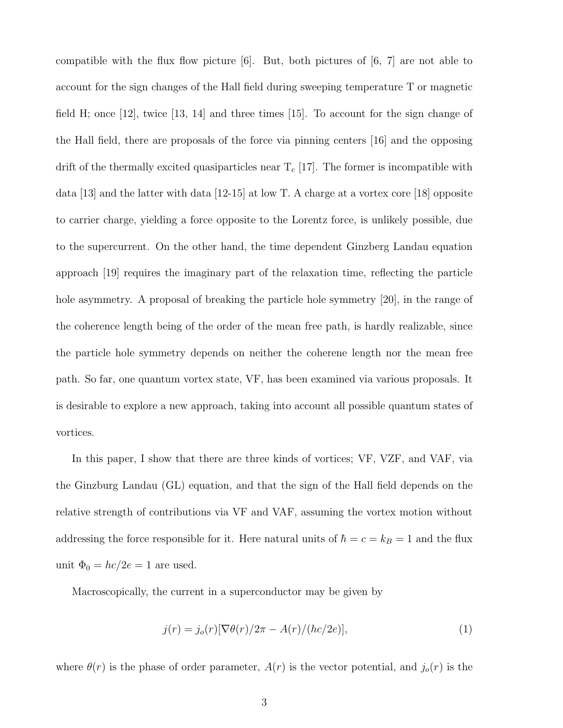compatible with the flux flow picture  $[6]$ . But, both pictures of  $[6, 7]$  are not able to account for the sign changes of the Hall field during sweeping temperature T or magnetic field H; once  $|12|$ , twice  $|13, 14|$  and three times  $|15|$ . To account for the sign change of the Hall field, there are proposals of the force via pinning centers [16] and the opposing drift of the thermally excited quasiparticles near  $T_c$  [17]. The former is incompatible with data [13] and the latter with data [12-15] at low T. A charge at a vortex core [18] opposite to carrier charge, yielding a force opposite to the Lorentz force, is unlikely possible, due to the supercurrent. On the other hand, the time dependent Ginzberg Landau equation approach [19] requires the imaginary part of the relaxation time, reflecting the particle hole asymmetry. A proposal of breaking the particle hole symmetry [20], in the range of the coherence length being of the order of the mean free path, is hardly realizable, since the particle hole symmetry depends on neither the coherene length nor the mean free path. So far, one quantum vortex state, VF, has been examined via various proposals. It is desirable to explore a new approach, taking into account all possible quantum states of vortices.

In this paper, I show that there are three kinds of vortices; VF, VZF, and VAF, via the Ginzburg Landau (GL) equation, and that the sign of the Hall field depends on the relative strength of contributions via VF and VAF, assuming the vortex motion without addressing the force responsible for it. Here natural units of  $\hbar = c = k_B = 1$  and the flux unit  $\Phi_0 = hc/2e = 1$  are used.

Macroscopically, the current in a superconductor may be given by

$$
j(r) = j_o(r)[\nabla \theta(r)/2\pi - A(r)/(hc/2e)],\tag{1}
$$

where  $\theta(r)$  is the phase of order parameter,  $A(r)$  is the vector potential, and  $j_o(r)$  is the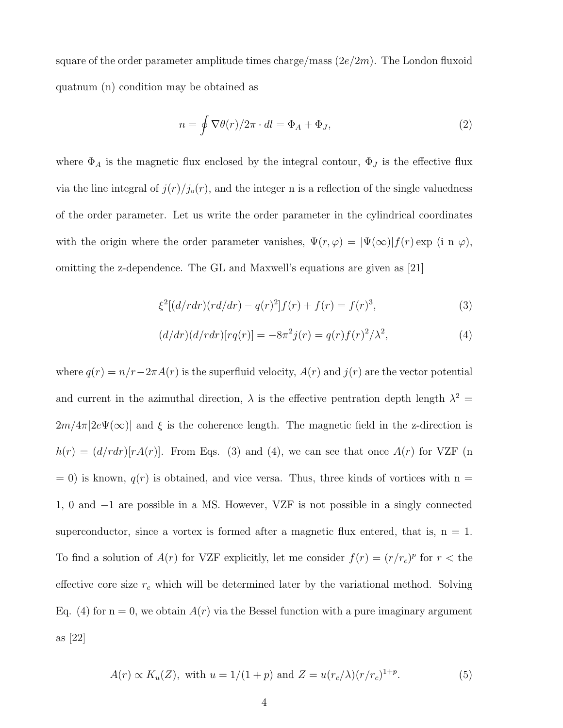square of the order parameter amplitude times charge/mass  $(2e/2m)$ . The London fluxoid quatnum (n) condition may be obtained as

$$
n = \oint \nabla \theta(r) / 2\pi \cdot dl = \Phi_A + \Phi_J,
$$
\n(2)

where  $\Phi_A$  is the magnetic flux enclosed by the integral contour,  $\Phi_J$  is the effective flux via the line integral of  $j(r)/j_o(r)$ , and the integer n is a reflection of the single valuedness of the order parameter. Let us write the order parameter in the cylindrical coordinates with the origin where the order parameter vanishes,  $\Psi(r, \varphi) = |\Psi(\infty)| f(r) \exp$  (i n  $\varphi$ ), omitting the z-dependence. The GL and Maxwell's equations are given as [21]

$$
\xi^{2}[(d/rdr)(rd/dr) - q(r)^{2}]f(r) + f(r) = f(r)^{3},\tag{3}
$$

$$
(d/dr)(d/rdr)[rq(r)] = -8\pi^2 j(r) = q(r)f(r)^2/\lambda^2,
$$
\n(4)

where  $q(r) = n/r - 2\pi A(r)$  is the superfluid velocity,  $A(r)$  and  $j(r)$  are the vector potential and current in the azimuthal direction,  $\lambda$  is the effective pentration depth length  $\lambda^2 =$  $2m/4\pi|2e\Psi(\infty)|$  and  $\xi$  is the coherence length. The magnetic field in the z-direction is  $h(r) = (d/rdr)[rA(r)]$ . From Eqs. (3) and (4), we can see that once  $A(r)$  for VZF (n  $= 0$ ) is known,  $q(r)$  is obtained, and vice versa. Thus, three kinds of vortices with n = 1, 0 and −1 are possible in a MS. However, VZF is not possible in a singly connected superconductor, since a vortex is formed after a magnetic flux entered, that is,  $n = 1$ . To find a solution of  $A(r)$  for VZF explicitly, let me consider  $f(r) = (r/r_c)^p$  for  $r <$  the effective core size  $r_c$  which will be determined later by the variational method. Solving Eq. (4) for  $n = 0$ , we obtain  $A(r)$  via the Bessel function with a pure imaginary argument as [22]

$$
A(r) \propto K_u(Z)
$$
, with  $u = 1/(1 + p)$  and  $Z = u(r_c/\lambda)(r/r_c)^{1+p}$ . (5)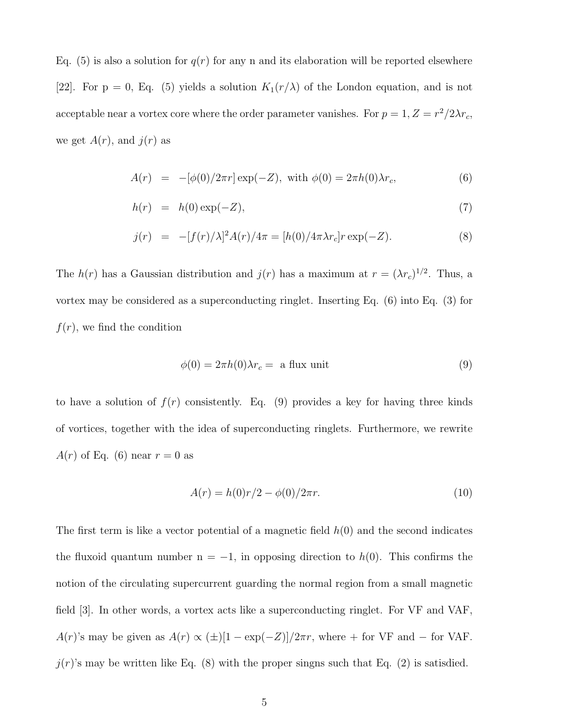Eq. (5) is also a solution for  $q(r)$  for any n and its elaboration will be reported elsewhere [22]. For  $p = 0$ , Eq. (5) yields a solution  $K_1(r/\lambda)$  of the London equation, and is not acceptable near a vortex core where the order parameter vanishes. For  $p = 1, Z = r^2/2\lambda r_c$ , we get  $A(r)$ , and  $j(r)$  as

$$
A(r) = -[\phi(0)/2\pi r] \exp(-Z), \text{ with } \phi(0) = 2\pi h(0)\lambda r_c,
$$
 (6)

$$
h(r) = h(0) \exp(-Z), \tag{7}
$$

$$
j(r) = -[f(r)/\lambda]^2 A(r)/4\pi = [h(0)/4\pi \lambda r_c] r \exp(-Z).
$$
 (8)

The  $h(r)$  has a Gaussian distribution and  $j(r)$  has a maximum at  $r = (\lambda r_c)^{1/2}$ . Thus, a vortex may be considered as a superconducting ringlet. Inserting Eq. (6) into Eq. (3) for  $f(r)$ , we find the condition

$$
\phi(0) = 2\pi h(0)\lambda r_c = \text{ a flux unit} \tag{9}
$$

to have a solution of  $f(r)$  consistently. Eq. (9) provides a key for having three kinds of vortices, together with the idea of superconducting ringlets. Furthermore, we rewrite  $A(r)$  of Eq. (6) near  $r = 0$  as

$$
A(r) = h(0)r/2 - \phi(0)/2\pi r.
$$
\n(10)

The first term is like a vector potential of a magnetic field  $h(0)$  and the second indicates the fluxoid quantum number  $n = -1$ , in opposing direction to  $h(0)$ . This confirms the notion of the circulating supercurrent guarding the normal region from a small magnetic field [3]. In other words, a vortex acts like a superconducting ringlet. For VF and VAF, A(r)'s may be given as  $A(r) \propto (\pm) [1 - \exp(-Z)]/2\pi r$ , where + for VF and – for VAF.  $j(r)$ 's may be written like Eq. (8) with the proper singns such that Eq. (2) is satisdied.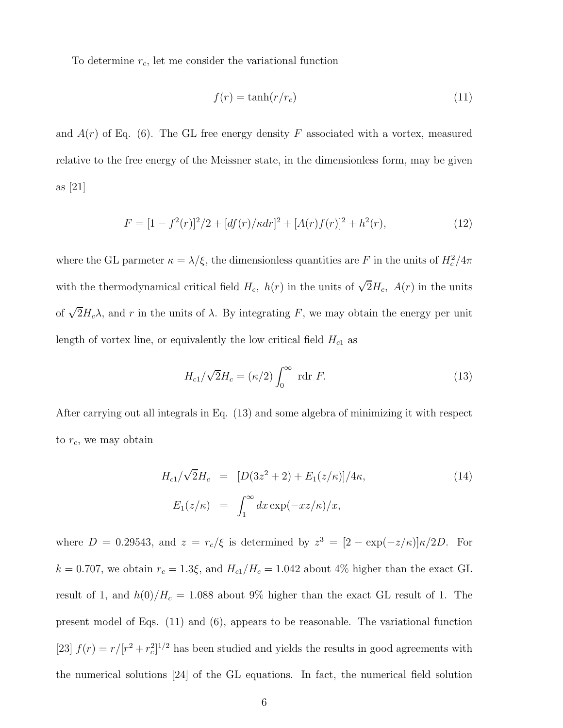To determine  $r_c$ , let me consider the variational function

$$
f(r) = \tanh(r/r_c) \tag{11}
$$

and  $A(r)$  of Eq. (6). The GL free energy density F associated with a vortex, measured relative to the free energy of the Meissner state, in the dimensionless form, may be given as [21]

$$
F = [1 - f2(r)]2/2 + [df(r)/\kappa dr]2 + [A(r)f(r)]2 + h2(r),
$$
\n(12)

where the GL parmeter  $\kappa = \lambda/\xi$ , the dimensionless quantities are F in the units of  $H_c^2/4\pi$ with the thermodynamical critical field  $H_c$ ,  $h(r)$  in the units of  $\sqrt{2}H_c$ ,  $A(r)$  in the units of  $\sqrt{2}H_c\lambda$ , and r in the units of  $\lambda$ . By integrating F, we may obtain the energy per unit length of vortex line, or equivalently the low critical field  $H_{c1}$  as

$$
H_{c1}/\sqrt{2}H_c = (\kappa/2)\int_0^\infty \text{ rdr } F. \tag{13}
$$

After carrying out all integrals in Eq. (13) and some algebra of minimizing it with respect to  $r_c$ , we may obtain

$$
H_{c1}/\sqrt{2}H_c = [D(3z^2 + 2) + E_1(z/\kappa)]/4\kappa,
$$
\n(14)  
\n
$$
E_1(z/\kappa) = \int_1^\infty dx \exp(-xz/\kappa)/x,
$$

where  $D = 0.29543$ , and  $z = r_c/\xi$  is determined by  $z^3 = [2 - \exp(-z/\kappa)]\kappa/2D$ . For  $k = 0.707$ , we obtain  $r_c = 1.3\xi$ , and  $H_{c1}/H_c = 1.042$  about 4% higher than the exact GL result of 1, and  $h(0)/H_c = 1.088$  about 9% higher than the exact GL result of 1. The present model of Eqs. (11) and (6), appears to be reasonable. The variational function [23]  $f(r) = r/[r^2 + r_c^2]$  $_{c}^{2}]^{1/2}$  has been studied and yields the results in good agreements with the numerical solutions [24] of the GL equations. In fact, the numerical field solution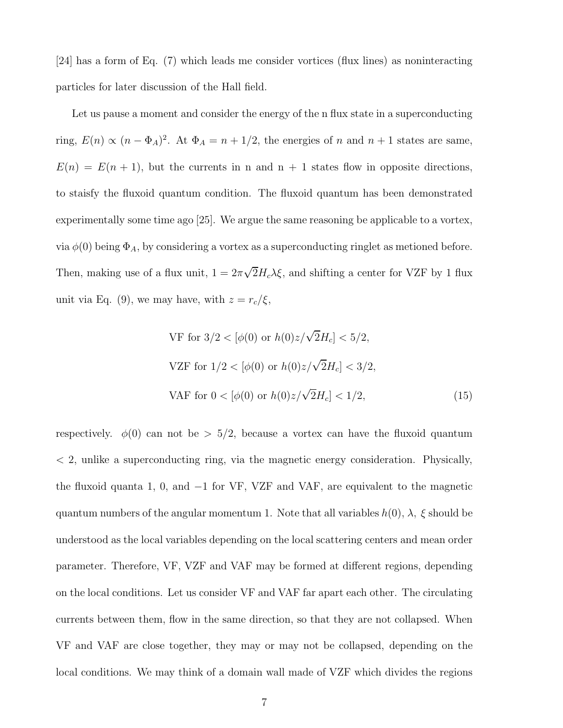[24] has a form of Eq. (7) which leads me consider vortices (flux lines) as noninteracting particles for later discussion of the Hall field.

Let us pause a moment and consider the energy of the n flux state in a superconducting ring,  $E(n) \propto (n - \Phi_A)^2$ . At  $\Phi_A = n + 1/2$ , the energies of n and  $n + 1$  states are same,  $E(n) = E(n + 1)$ , but the currents in n and n + 1 states flow in opposite directions, to staisfy the fluxoid quantum condition. The fluxoid quantum has been demonstrated experimentally some time ago [25]. We argue the same reasoning be applicable to a vortex, via  $\phi(0)$  being  $\Phi_A$ , by considering a vortex as a superconducting ringlet as metioned before. Then, making use of a flux unit,  $1 = 2\pi\sqrt{2}H_c\lambda\xi$ , and shifting a center for VZF by 1 flux unit via Eq. (9), we may have, with  $z = r_c/\xi$ ,

$$
\text{VF for } 3/2 < [\phi(0) \text{ or } h(0)z/\sqrt{2}H_c] < 5/2,
$$
\n
$$
\text{VZF for } 1/2 < [\phi(0) \text{ or } h(0)z/\sqrt{2}H_c] < 3/2,
$$
\n
$$
\text{VAF for } 0 < [\phi(0) \text{ or } h(0)z/\sqrt{2}H_c] < 1/2,
$$
\n
$$
\tag{15}
$$

respectively.  $\phi(0)$  can not be  $> 5/2$ , because a vortex can have the fluxoid quantum  $\langle 2, \rangle$  unlike a superconducting ring, via the magnetic energy consideration. Physically, the fluxoid quanta 1, 0, and −1 for VF, VZF and VAF, are equivalent to the magnetic quantum numbers of the angular momentum 1. Note that all variables  $h(0)$ ,  $\lambda$ ,  $\xi$  should be understood as the local variables depending on the local scattering centers and mean order parameter. Therefore, VF, VZF and VAF may be formed at different regions, depending on the local conditions. Let us consider VF and VAF far apart each other. The circulating currents between them, flow in the same direction, so that they are not collapsed. When VF and VAF are close together, they may or may not be collapsed, depending on the local conditions. We may think of a domain wall made of VZF which divides the regions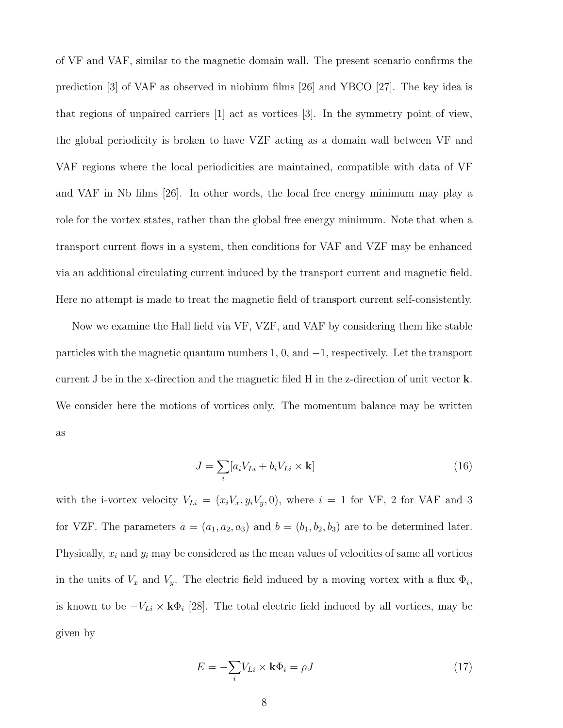of VF and VAF, similar to the magnetic domain wall. The present scenario confirms the prediction [3] of VAF as observed in niobium films [26] and YBCO [27]. The key idea is that regions of unpaired carriers [1] act as vortices [3]. In the symmetry point of view, the global periodicity is broken to have VZF acting as a domain wall between VF and VAF regions where the local periodicities are maintained, compatible with data of VF and VAF in Nb films [26]. In other words, the local free energy minimum may play a role for the vortex states, rather than the global free energy minimum. Note that when a transport current flows in a system, then conditions for VAF and VZF may be enhanced via an additional circulating current induced by the transport current and magnetic field. Here no attempt is made to treat the magnetic field of transport current self-consistently.

Now we examine the Hall field via VF, VZF, and VAF by considering them like stable particles with the magnetic quantum numbers 1, 0, and −1, respectively. Let the transport current J be in the x-direction and the magnetic filed H in the z-direction of unit vector k. We consider here the motions of vortices only. The momentum balance may be written as

$$
J = \sum_{i} [a_i V_{Li} + b_i V_{Li} \times \mathbf{k}] \tag{16}
$$

with the i-vortex velocity  $V_{Li} = (x_i V_x, y_i V_y, 0)$ , where  $i = 1$  for VF, 2 for VAF and 3 for VZF. The parameters  $a = (a_1, a_2, a_3)$  and  $b = (b_1, b_2, b_3)$  are to be determined later. Physically,  $x_i$  and  $y_i$  may be considered as the mean values of velocities of same all vortices in the units of  $V_x$  and  $V_y$ . The electric field induced by a moving vortex with a flux  $\Phi_i$ , is known to be  $-V_{Li} \times \mathbf{k} \Phi_i$  [28]. The total electric field induced by all vortices, may be given by

$$
E = -\sum_{i} V_{Li} \times \mathbf{k} \Phi_i = \rho J \tag{17}
$$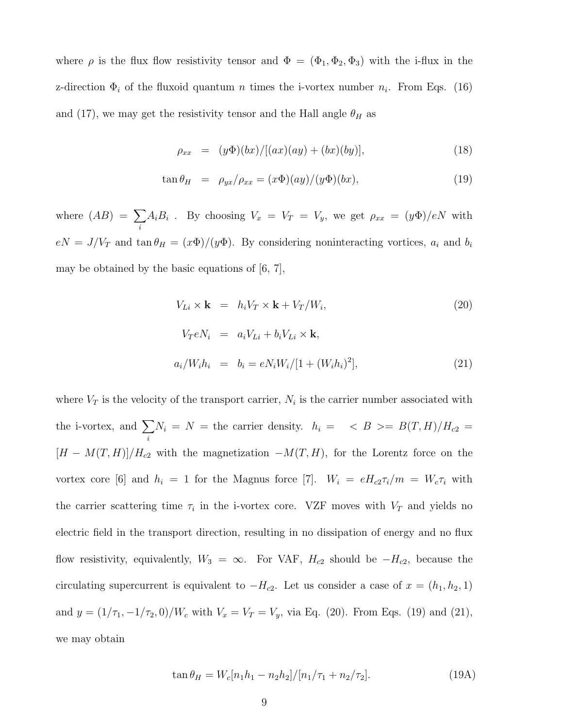where  $\rho$  is the flux flow resistivity tensor and  $\Phi = (\Phi_1, \Phi_2, \Phi_3)$  with the i-flux in the z-direction  $\Phi_i$  of the fluxoid quantum *n* times the i-vortex number  $n_i$ . From Eqs. (16) and (17), we may get the resistivity tensor and the Hall angle  $\theta_H$  as

$$
\rho_{xx} = (y\Phi)(bx) / [(ax)(ay) + (bx)(by)], \qquad (18)
$$

$$
\tan \theta_H = \rho_{yx} / \rho_{xx} = (x\Phi)(ay) / (y\Phi)(bx), \qquad (19)
$$

where  $(AB) = \sum$ i  $A_i B_i$ . By choosing  $V_x = V_T = V_y$ , we get  $\rho_{xx} = (y \Phi)/eN$  with  $eN = J/V_T$  and  $\tan \theta_H = (x\Phi)/(y\Phi)$ . By considering noninteracting vortices,  $a_i$  and  $b_i$ may be obtained by the basic equations of [6, 7],

$$
V_{Li} \times \mathbf{k} = h_i V_T \times \mathbf{k} + V_T / W_i,
$$
\n
$$
V_T e N_i = a_i V_{Li} + b_i V_{Li} \times \mathbf{k},
$$
\n
$$
a_i / W_i h_i = b_i = e N_i W_i / [1 + (W_i h_i)^2],
$$
\n(21)

where  $V_T$  is the velocity of the transport carrier,  $N_i$  is the carrier number associated with the i-vortex, and  $\Sigma$ i  $N_i = N =$  the carrier density.  $h_i = \langle B \rangle = B(T, H)/H_{c2} =$  $[H - M(T, H)]/H_{c2}$  with the magnetization  $-M(T, H)$ , for the Lorentz force on the vortex core [6] and  $h_i = 1$  for the Magnus force [7].  $W_i = eH_{c2}\tau_i/m = W_c\tau_i$  with the carrier scattering time  $\tau_i$  in the i-vortex core. VZF moves with  $V_T$  and yields no electric field in the transport direction, resulting in no dissipation of energy and no flux flow resistivity, equivalently,  $W_3 = \infty$ . For VAF,  $H_{c2}$  should be  $-H_{c2}$ , because the circulating supercurrent is equivalent to  $-H_{c2}$ . Let us consider a case of  $x = (h_1, h_2, 1)$ and  $y = (1/\tau_1, -1/\tau_2, 0)/W_c$  with  $V_x = V_T = V_y$ , via Eq. (20). From Eqs. (19) and (21), we may obtain

$$
\tan \theta_H = W_c[n_1h_1 - n_2h_2]/[n_1/\tau_1 + n_2/\tau_2].\tag{19A}
$$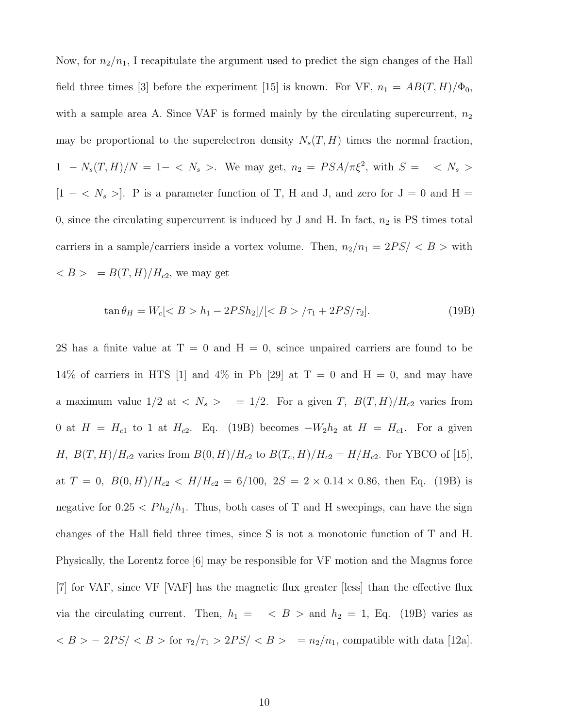Now, for  $n_2/n_1$ , I recapitulate the argument used to predict the sign changes of the Hall field three times [3] before the experiment [15] is known. For VF,  $n_1 = AB(T, H)/\Phi_0$ , with a sample area A. Since VAF is formed mainly by the circulating supercurrent,  $n_2$ may be proportional to the superelectron density  $N_s(T, H)$  times the normal fraction,  $1 - N_s(T,H)/N = 1 - \langle N_s \rangle$ . We may get,  $n_2 = PSA/\pi\xi^2$ , with  $S = \langle N_s \rangle$ [1 –  $\langle N_s \rangle$ ]. P is a parameter function of T, H and J, and zero for J = 0 and H = 0, since the circulating supercurrent is induced by J and H. In fact,  $n_2$  is PS times total carriers in a sample/carriers inside a vortex volume. Then,  $n_2/n_1 = 2PS / \langle B \rangle$  with  $\langle B \rangle = B(T, H)/H_{c2}$ , we may get

$$
\tan \theta_H = W_c \left[ \langle B \rangle h_1 - 2PSh_2 \right] / \left[ \langle B \rangle / \tau_1 + 2PS/\tau_2 \right]. \tag{19B}
$$

2S has a finite value at  $T = 0$  and  $H = 0$ , scince unpaired carriers are found to be 14% of carriers in HTS [1] and 4% in Pb [29] at T = 0 and H = 0, and may have a maximum value  $1/2$  at  $\langle N_s \rangle = 1/2$ . For a given T,  $B(T, H)/H_{c2}$  varies from 0 at  $H = H_{c1}$  to 1 at  $H_{c2}$ . Eq. (19B) becomes  $-W_2h_2$  at  $H = H_{c1}$ . For a given *H*,  $B(T, H)/H_{c2}$  varies from  $B(0, H)/H_{c2}$  to  $B(T_c, H)/H_{c2} = H/H_{c2}$ . For YBCO of [15], at  $T = 0$ ,  $B(0, H)/H_{c2} < H/H_{c2} = 6/100$ ,  $2S = 2 \times 0.14 \times 0.86$ , then Eq. (19B) is negative for  $0.25 < Ph_2/h_1$ . Thus, both cases of T and H sweepings, can have the sign changes of the Hall field three times, since S is not a monotonic function of T and H. Physically, the Lorentz force [6] may be responsible for VF motion and the Magnus force [7] for VAF, since VF [VAF] has the magnetic flux greater [less] than the effective flux via the circulating current. Then,  $h_1 = \langle B \rangle$  and  $h_2 = 1$ , Eq. (19B) varies as  $\langle B \rangle - 2PS / \langle B \rangle$  for  $\tau_2/\tau_1 > 2PS / \langle B \rangle = n_2/n_1$ , compatible with data [12a].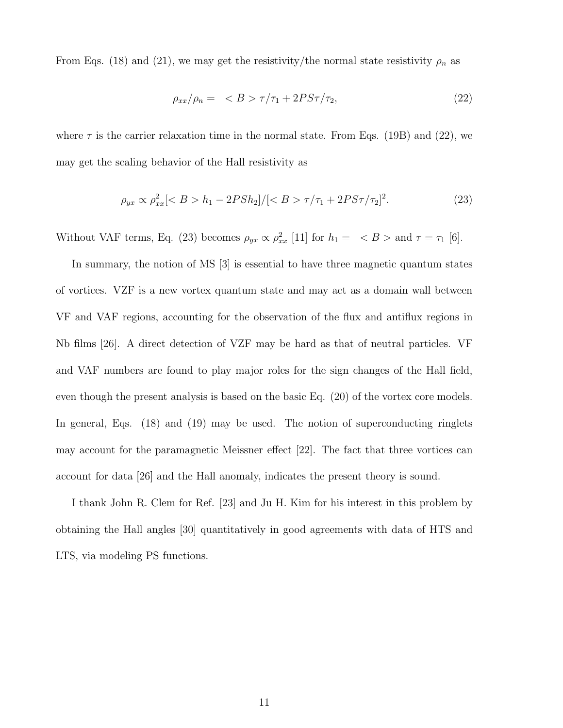From Eqs. (18) and (21), we may get the resistivity/the normal state resistivity  $\rho_n$  as

$$
\rho_{xx}/\rho_n = \langle B \rangle \tau/\tau_1 + 2PS\tau/\tau_2,\tag{22}
$$

where  $\tau$  is the carrier relaxation time in the normal state. From Eqs. (19B) and (22), we may get the scaling behavior of the Hall resistivity as

$$
\rho_{yx} \propto \rho_{xx}^2 \left[ \langle B > h_1 - 2PSh_2 \right] / \left[ \langle B > \tau / \tau_1 + 2P S \tau / \tau_2 \right]^2. \tag{23}
$$

Without VAF terms, Eq. (23) becomes  $\rho_{yx} \propto \rho_{xx}^2$  [11] for  $h_1 = \langle B \rangle$  and  $\tau = \tau_1$  [6].

In summary, the notion of MS [3] is essential to have three magnetic quantum states of vortices. VZF is a new vortex quantum state and may act as a domain wall between VF and VAF regions, accounting for the observation of the flux and antiflux regions in Nb films [26]. A direct detection of VZF may be hard as that of neutral particles. VF and VAF numbers are found to play major roles for the sign changes of the Hall field, even though the present analysis is based on the basic Eq. (20) of the vortex core models. In general, Eqs. (18) and (19) may be used. The notion of superconducting ringlets may account for the paramagnetic Meissner effect [22]. The fact that three vortices can account for data [26] and the Hall anomaly, indicates the present theory is sound.

I thank John R. Clem for Ref. [23] and Ju H. Kim for his interest in this problem by obtaining the Hall angles [30] quantitatively in good agreements with data of HTS and LTS, via modeling PS functions.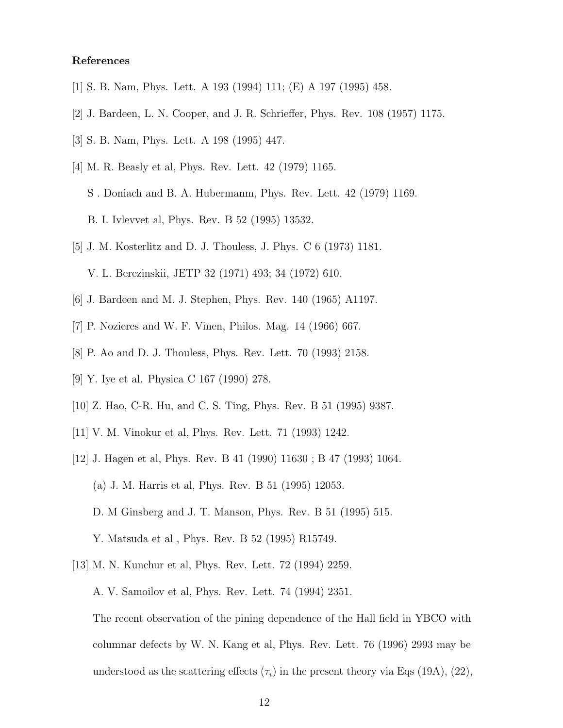## References

- [1] S. B. Nam, Phys. Lett. A 193 (1994) 111; (E) A 197 (1995) 458.
- [2] J. Bardeen, L. N. Cooper, and J. R. Schrieffer, Phys. Rev. 108 (1957) 1175.
- [3] S. B. Nam, Phys. Lett. A 198 (1995) 447.
- [4] M. R. Beasly et al, Phys. Rev. Lett. 42 (1979) 1165.
	- S . Doniach and B. A. Hubermanm, Phys. Rev. Lett. 42 (1979) 1169.
	- B. I. Ivlevvet al, Phys. Rev. B 52 (1995) 13532.
- [5] J. M. Kosterlitz and D. J. Thouless, J. Phys. C 6 (1973) 1181. V. L. Berezinskii, JETP 32 (1971) 493; 34 (1972) 610.
- [6] J. Bardeen and M. J. Stephen, Phys. Rev. 140 (1965) A1197.
- [7] P. Nozieres and W. F. Vinen, Philos. Mag. 14 (1966) 667.
- [8] P. Ao and D. J. Thouless, Phys. Rev. Lett. 70 (1993) 2158.
- [9] Y. Iye et al. Physica C 167 (1990) 278.
- [10] Z. Hao, C-R. Hu, and C. S. Ting, Phys. Rev. B 51 (1995) 9387.
- [11] V. M. Vinokur et al, Phys. Rev. Lett. 71 (1993) 1242.
- [12] J. Hagen et al, Phys. Rev. B 41 (1990) 11630 ; B 47 (1993) 1064. (a) J. M. Harris et al, Phys. Rev. B 51 (1995) 12053. D. M Ginsberg and J. T. Manson, Phys. Rev. B 51 (1995) 515. Y. Matsuda et al , Phys. Rev. B 52 (1995) R15749.
- [13] M. N. Kunchur et al, Phys. Rev. Lett. 72 (1994) 2259.

A. V. Samoilov et al, Phys. Rev. Lett. 74 (1994) 2351.

The recent observation of the pining dependence of the Hall field in YBCO with columnar defects by W. N. Kang et al, Phys. Rev. Lett. 76 (1996) 2993 may be understood as the scattering effects  $(\tau_i)$  in the present theory via Eqs (19A), (22),